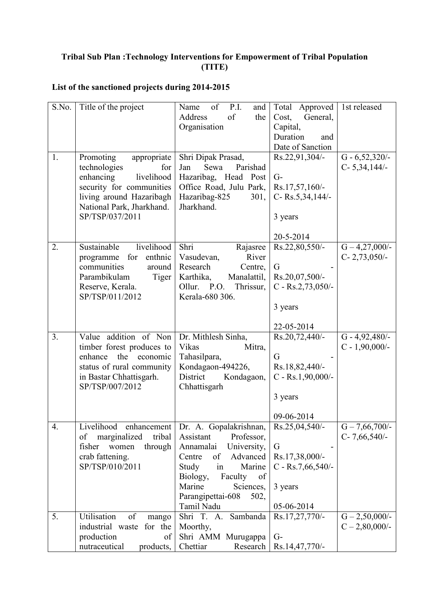## **Tribal Sub Plan :Technology Interventions for Empowerment of Tribal Population (TITE)**

## **List of the sanctioned projects during 2014-2015**

| S.No. | Title of the project                                                                                                                                                               | of<br>P.I.<br>Name<br>and<br>of<br>Address<br>the<br>Organisation                                                                                                                                                                 | Total<br>Approved<br>Cost,<br>General,<br>Capital,<br>Duration<br>and<br>Date of Sanction         | 1st released                           |
|-------|------------------------------------------------------------------------------------------------------------------------------------------------------------------------------------|-----------------------------------------------------------------------------------------------------------------------------------------------------------------------------------------------------------------------------------|---------------------------------------------------------------------------------------------------|----------------------------------------|
| 1.    | Promoting<br>appropriate<br>technologies<br>for<br>enhancing<br>livelihood<br>security for communities<br>living around Hazaribagh<br>National Park, Jharkhand.<br>SP/TSP/037/2011 | Shri Dipak Prasad,<br>Jan<br>Sewa<br>Parishad<br>Hazaribag, Head Post<br>Office Road, Julu Park,<br>Hazaribag-825<br>301,<br>Jharkhand.                                                                                           | Rs.22,91,304/-<br>$G-$<br>Rs.17,57,160/-<br>C-Rs.5,34,144/-<br>3 years<br>20-5-2014               | $G - 6,52,320/$ -<br>$C-5,34,144/-$    |
| 2.    | Sustainable<br>livelihood<br>enthnic<br>for<br>programme<br>communities<br>around<br>Parambikulam<br>Tiger<br>Reserve, Kerala.<br>SP/TSP/011/2012                                  | Shri<br>Rajasree<br>River<br>Vasudevan,<br>Research<br>Centre,<br>Karthika,<br>Manalattil,<br>Ollur. P.O.<br>Thrissur,<br>Kerala-680 306.                                                                                         | Rs.22,80,550/-<br>G<br>Rs.20,07,500/-<br>$C - Rs.2,73,050/$<br>3 years                            | $G - 4,27,000/$ -<br>$C-2,73,050/$     |
| 3.    | Value addition of Non<br>timber forest produces to<br>enhance<br>the<br>economic<br>status of rural community<br>in Bastar Chhattisgarh.<br>SP/TSP/007/2012                        | Dr. Mithlesh Sinha,<br>Vikas<br>Mitra,<br>Tahasilpara,<br>Kondagaon-494226,<br>District<br>Kondagaon,<br>Chhattisgarh                                                                                                             | 22-05-2014<br>Rs.20,72,440/-<br>G<br>Rs.18,82,440/-<br>C - Rs.1,90,000/-<br>3 years<br>09-06-2014 | $G - 4,92,480/$ -<br>$C - 1,90,000/$ - |
| 4.    | Livelihood<br>enhancement<br>of<br>marginalized<br>tribal<br>fisher<br>women<br>through<br>crab fattening.<br>SP/TSP/010/2011                                                      | Dr. A. Gopalakrishnan,<br>Professor,<br>Assistant<br>University,<br>Annamalai<br>Centre<br>Advanced<br>of<br>Study<br>Marine<br>in<br>Biology,<br>Faculty<br>of<br>Marine<br>Sciences,<br>Parangipettai-608<br>502,<br>Tamil Nadu | $Rs.25,04,540/$ -<br>G<br>Rs.17,38,000/-<br>$C - Rs.7,66,540/$<br>3 years<br>05-06-2014           | $G - 7,66,700/$ -<br>$C-7,66,540/$     |
| 5.    | Utilisation<br>of<br>mango<br>industrial waste for the<br>production<br>of<br>nutraceutical<br>products,                                                                           | Shri T. A.<br>Sambanda<br>Moorthy,<br>Shri AMM Murugappa<br>Chettiar<br>Research                                                                                                                                                  | Rs.17,27,770/-<br>$G-$<br>Rs.14,47,770/-                                                          | $G - 2,50,000/$ -<br>$C - 2,80,000/$ - |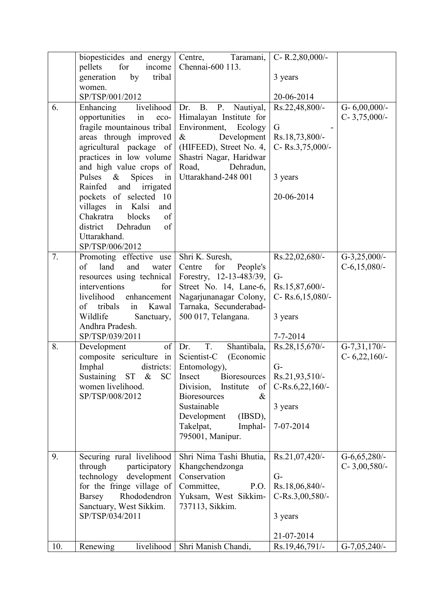| 6.  | biopesticides and energy Centre, Taramani,<br>for<br>income<br>pellets<br>generation<br>by<br>tribal<br>women.<br>SP/TSP/001/2012<br>livelihood<br>Enhancing                                                                                                                                                                                                                                 | Chennai-600 113.<br><b>B.</b><br>$P_{\cdot}$<br>Dr.<br>Nautiyal,                                                                                                                                                                           | C-R.2,80,000/-<br>3 years<br>20-06-2014<br>Rs.22,48,800/-                                | G- $6,00,000/$ -                 |
|-----|----------------------------------------------------------------------------------------------------------------------------------------------------------------------------------------------------------------------------------------------------------------------------------------------------------------------------------------------------------------------------------------------|--------------------------------------------------------------------------------------------------------------------------------------------------------------------------------------------------------------------------------------------|------------------------------------------------------------------------------------------|----------------------------------|
|     | opportunities<br>in<br>eco-<br>fragile mountainous tribal<br>areas through improved<br>agricultural package of<br>practices in low volume<br>and high value crops of<br>Pulses<br>$\&$<br>Spices<br>in<br>and irrigated<br>Rainfed<br>pockets of selected 10<br>in<br>Kalsi<br>villages<br>and<br>blocks<br>Chakratra<br>of<br>district<br>Dehradun<br>of<br>Uttarakhand.<br>SP/TSP/006/2012 | Himalayan Institute for<br>Environment,<br>Ecology<br>$\&$<br>Development<br>(HIFEED), Street No. 4,<br>Shastri Nagar, Haridwar<br>Road,<br>Dehradun,<br>Uttarakhand-248 001                                                               | G<br>Rs.18,73,800/-<br>C-Rs.3,75,000/-<br>3 years<br>20-06-2014                          | $C-3,75,000/-$                   |
| 7.  | Promoting effective use<br>of<br>land<br>and<br>water<br>resources using technical<br>interventions<br>for<br>livelihood<br>enhancement<br>tribals<br>Kawal<br>of<br>in<br>Wildlife<br>Sanctuary,<br>Andhra Pradesh.<br>SP/TSP/039/2011                                                                                                                                                      | Shri K. Suresh,<br>for<br>People's<br>Centre<br>Forestry, 12-13-483/39,<br>Street No. 14, Lane-6,<br>Nagarjunanagar Colony,<br>Tarnaka, Secunderabad-<br>500 017, Telangana.                                                               | Rs.22,02,680/-<br>$G-$<br>Rs.15,87,600/-<br>C-Rs.6,15,080/-<br>3 years<br>$7 - 7 - 2014$ | $G-3,25,000/-$<br>$C-6,15,080/-$ |
| 8.  | of<br>Development<br>composite sericulture in Scientist-C<br>Imphal<br>districts:<br>Sustaining ST &<br><b>SC</b><br>women livelihood.<br>SP/TSP/008/2012                                                                                                                                                                                                                                    | T.<br>Shantibala,<br>Dr.<br>(Economic<br>Entomology),<br>Insect<br><b>Bioresources</b><br>Division,<br>Institute<br>of<br><b>Bioresources</b><br>$\&$<br>Sustainable<br>Development<br>(IBSD),<br>Takelpat,<br>Imphal-<br>795001, Manipur. | Rs.28,15,670/-<br>$G-$<br>Rs.21,93,510/-<br>$C-Rs.6,22,160/$ -<br>3 years<br>7-07-2014   | $G-7,31,170/-$<br>$C-6,22,160/-$ |
| 9.  | Securing rural livelihood<br>through<br>participatory<br>technology development<br>for the fringe village of<br>Rhododendron<br>Barsey<br>Sanctuary, West Sikkim.<br>SP/TSP/034/2011                                                                                                                                                                                                         | Shri Nima Tashi Bhutia,<br>Khangchendzonga<br>Conservation<br>Committee,<br>P.O.<br>Yuksam, West Sikkim-<br>737113, Sikkim.                                                                                                                | Rs.21,07,420/-<br>$G-$<br>Rs.18,06,840/-<br>$C-Rs.3,00,580/$ -<br>3 years<br>21-07-2014  | G-6,65,280/-<br>$C-3,00,580/-$   |
| 10. | livelihood<br>Renewing                                                                                                                                                                                                                                                                                                                                                                       | Shri Manish Chandi,                                                                                                                                                                                                                        | Rs.19,46,791/-                                                                           | $G-7,05,240/$ -                  |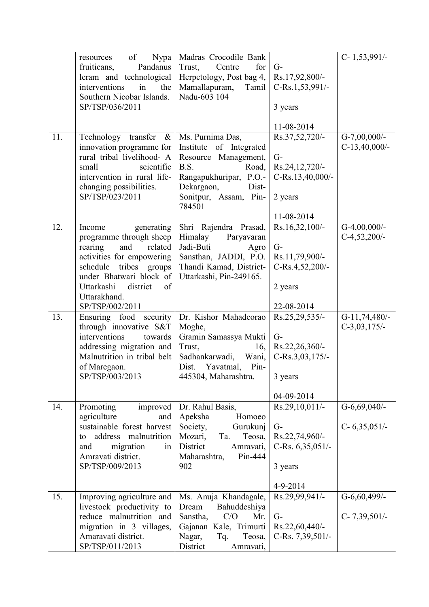|     | of<br>Nypa<br>resources      | Madras Crocodile Bank    |                     | $C-1,53,991/-$   |
|-----|------------------------------|--------------------------|---------------------|------------------|
|     | Pandanus<br>fruiticans,      | for<br>Trust,<br>Centre  | $G-$                |                  |
|     | leram and technological      | Herpetology, Post bag 4, | Rs.17,92,800/-      |                  |
|     | interventions<br>in<br>the   | Mamallapuram,<br>Tamil   | C-Rs.1,53,991/-     |                  |
|     | Southern Nicobar Islands.    | Nadu-603 104             |                     |                  |
|     | SP/TSP/036/2011              |                          | 3 years             |                  |
|     |                              |                          | 11-08-2014          |                  |
| 11. | Technology transfer<br>$\&$  | Ms. Purnima Das,         | Rs.37,52,720/-      | $G-7,00,000/$ -  |
|     | innovation programme for     | Institute of Integrated  |                     | $C-13,40,000/$ - |
|     | rural tribal livelihood- A   | Resource Management,     | $G-$                |                  |
|     | scientific<br>small          | B.S.<br>Road,            | Rs.24,12,720/-      |                  |
|     | intervention in rural life-  | Rangapukhuripar, P.O.-   | C-Rs.13,40,000/-    |                  |
|     | changing possibilities.      | Dekargaon,<br>Dist-      |                     |                  |
|     | SP/TSP/023/2011              | Sonitpur, Assam, Pin-    | 2 years             |                  |
|     |                              | 784501                   |                     |                  |
|     |                              |                          | 11-08-2014          |                  |
| 12. | Income<br>generating         | Shri Rajendra Prasad,    | $Rs.16,32,100/$ -   | G-4,00,000/-     |
|     | programme through sheep      | Himalay<br>Paryavaran    |                     | $C-4,52,200/-$   |
|     | rearing<br>and<br>related    | Jadi-Buti<br>Agro        | $G-$                |                  |
|     | activities for empowering    | Sansthan, JADDI, P.O.    | Rs.11,79,900/-      |                  |
|     | tribes<br>schedule<br>groups | Thandi Kamad, District-  | C-Rs.4,52,200/-     |                  |
|     | under Bhatwari block of      | Uttarkashi, Pin-249165.  |                     |                  |
|     | Uttarkashi<br>district<br>of |                          | 2 years             |                  |
|     | Uttarakhand.                 |                          |                     |                  |
|     | SP/TSP/002/2011              |                          | 22-08-2014          |                  |
| 13. | Ensuring food security       | Dr. Kishor Mahadeorao    | Rs.25,29,535/-      | $G-11,74,480/-$  |
|     | through innovative S&T       | Moghe,                   |                     | $C-3,03,175/-$   |
|     | interventions<br>towards     | Gramin Samassya Mukti    | $G-$                |                  |
|     | addressing migration and     | Trust,<br>16,            | Rs.22,26,360/-      |                  |
|     | Malnutrition in tribal belt  | Sadhankarwadi, Wani,     | C-Rs.3,03,175/-     |                  |
|     | of Maregaon.                 | Dist. Yavatmal,<br>Pin-  |                     |                  |
|     | SP/TSP/003/2013              | 445304, Maharashtra.     | 3 years             |                  |
|     |                              |                          | 04-09-2014          |                  |
| 14. | Promoting<br>improved        | Dr. Rahul Basis,         | $Rs.29,10,011/$ -   | $G-6,69,040/$ -  |
|     | agriculture<br>and           | Apeksha<br>Homoeo        |                     |                  |
|     | sustainable forest harvest   | Society,<br>Gurukunj     | $G-$                | $C-6,35,051/-$   |
|     | address malnutrition<br>to   | Mozari,<br>Ta.<br>Teosa, | Rs.22,74,960/-      |                  |
|     | migration<br>and<br>in       | District<br>Amravati,    | C-Rs. $6,35,051/$ - |                  |
|     | Amravati district.           | Pin-444<br>Maharashtra,  |                     |                  |
|     | SP/TSP/009/2013              | 902                      | 3 years             |                  |
|     |                              |                          | 4-9-2014            |                  |
| 15. | Improving agriculture and    | Ms. Anuja Khandagale,    | Rs.29,99,941/-      | $G-6,60,499/$ -  |
|     | livestock productivity to    | Dream<br>Bahuddeshiya    |                     |                  |
|     | reduce malnutrition and      | C/O<br>Sanstha,<br>Mr.   | $G-$                | $C-7,39,501/$    |
|     | migration in 3 villages,     | Gajanan Kale, Trimurti   | Rs.22,60,440/-      |                  |
|     | Amaravati district.          | Nagar,<br>Teosa,<br>Tq.  | C-Rs. 7,39,501/-    |                  |
|     | SP/TSP/011/2013              | District<br>Amravati,    |                     |                  |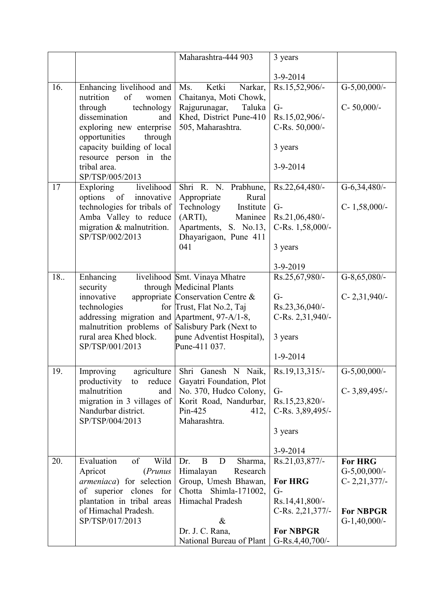|     |                                                  | Maharashtra-444 903               | 3 years          |                  |
|-----|--------------------------------------------------|-----------------------------------|------------------|------------------|
|     |                                                  |                                   |                  |                  |
|     |                                                  |                                   | $3-9-2014$       |                  |
| 16. | Enhancing livelihood and                         | Ketki<br>Ms.<br>Narkar,           | Rs.15,52,906/-   | $G-5,00,000/$ -  |
|     | nutrition<br>of<br>women                         | Chaitanya, Moti Chowk,            |                  |                  |
|     | technology<br>through                            | Taluka<br>Rajgurunagar,           | $G-$             | C-50,000/-       |
|     | dissemination<br>and                             | Khed, District Pune-410           | Rs.15,02,906/-   |                  |
|     | exploring new enterprise                         | 505, Maharashtra.                 | C-Rs. 50,000/-   |                  |
|     | opportunities<br>through                         |                                   |                  |                  |
|     | capacity building of local                       |                                   | 3 years          |                  |
|     | resource person in the                           |                                   |                  |                  |
|     | tribal area.                                     |                                   | 3-9-2014         |                  |
|     | SP/TSP/005/2013                                  |                                   |                  |                  |
| 17  | livelihood<br>Exploring                          | Shri R. N. Prabhune,              | Rs.22,64,480/-   | $G-6,34,480/-$   |
|     | innovative<br>options of                         | Appropriate<br>Rural              |                  |                  |
|     | technologies for tribals of                      | Technology<br>Institute           | $G-$             | $C-1,58,000/$ -  |
|     | Amba Valley to reduce                            | (ARTI),<br>Maninee                | Rs.21,06,480/-   |                  |
|     | migration & malnutrition.                        | Apartments, S. No.13,             | C-Rs. 1,58,000/- |                  |
|     | SP/TSP/002/2013                                  | Dhayarigaon, Pune 411             |                  |                  |
|     |                                                  | 041                               | 3 years          |                  |
|     |                                                  |                                   |                  |                  |
|     |                                                  |                                   | 3-9-2019         |                  |
| 18  | Enhancing                                        | livelihood Smt. Vinaya Mhatre     | Rs.25,67,980/-   | G-8,65,080/-     |
|     | security                                         | through Medicinal Plants          |                  |                  |
|     | innovative                                       | appropriate Conservation Centre & | $G-$             | $C-2,31,940/-$   |
|     | technologies                                     | for Trust, Flat No.2, Taj         | Rs.23,36,040/-   |                  |
|     | addressing migration and Apartment, 97-A/1-8,    |                                   | C-Rs. 2,31,940/- |                  |
|     | malnutrition problems of Salisbury Park (Next to |                                   |                  |                  |
|     | rural area Khed block.                           | pune Adventist Hospital),         | 3 years          |                  |
|     | SP/TSP/001/2013                                  | Pune-411 037.                     |                  |                  |
|     |                                                  |                                   | $1 - 9 - 2014$   |                  |
| 19. | Improving                                        | agriculture Shri Ganesh N Naik,   | Rs.19,13,315/-   | $G-5,00,000/$ -  |
|     | productivity to<br>reduce                        | Gayatri Foundation, Plot          |                  |                  |
|     | malnutrition<br>and                              | No. 370, Hudco Colony,            | $G-$             | $C-3,89,495/-$   |
|     | migration in 3 villages of                       | Korit Road, Nandurbar,            | Rs.15,23,820/-   |                  |
|     | Nandurbar district.                              | Pin-425<br>412,                   | C-Rs. 3,89,495/- |                  |
|     | SP/TSP/004/2013                                  | Maharashtra.                      |                  |                  |
|     |                                                  |                                   | 3 years          |                  |
|     |                                                  |                                   |                  |                  |
|     |                                                  |                                   | 3-9-2014         |                  |
| 20. | Wild<br>Evaluation<br>of                         | B<br>D<br>Sharma,<br>Dr.          | Rs.21,03,877/-   | <b>For HRG</b>   |
|     | Apricot<br>(Prunus                               | Himalayan<br>Research             |                  | $G-5,00,000/$ -  |
|     | armeniaca) for selection                         | Group, Umesh Bhawan,              | <b>For HRG</b>   | $C-2,21,377/$    |
|     | of superior clones for                           | Chotta Shimla-171002,             | $G-$             |                  |
|     | plantation in tribal areas                       | Himachal Pradesh                  | Rs.14,41,800/-   |                  |
|     | of Himachal Pradesh.                             |                                   | C-Rs. 2,21,377/- | <b>For NBPGR</b> |
|     | SP/TSP/017/2013                                  | $\&$                              |                  | $G-1,40,000/$ -  |
|     |                                                  | Dr. J. C. Rana,                   | <b>For NBPGR</b> |                  |
|     |                                                  | National Bureau of Plant          | G-Rs.4,40,700/-  |                  |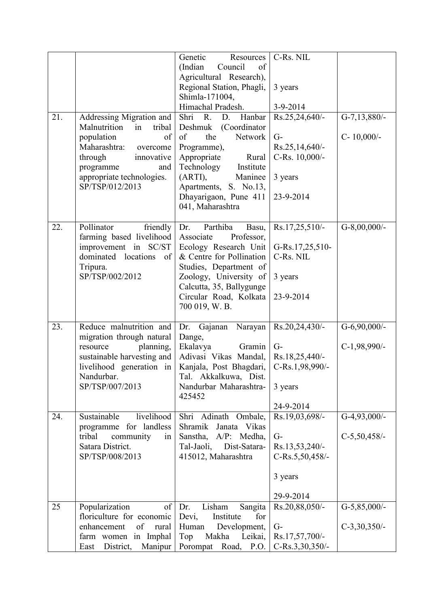| 21. | Addressing Migration and<br>Malnutrition<br>tribal<br>in<br>population<br>of<br>Maharashtra:<br>overcome<br>through<br>innovative<br>programme<br>and<br>appropriate technologies.<br>SP/TSP/012/2013 | Genetic<br>Resources<br>(Indian<br>Council<br>of<br>Agricultural Research),<br>Regional Station, Phagli,<br>Shimla-171004,<br>Himachal Pradesh.<br>Shri R.<br>Hanbar<br>D.<br>Deshmuk (Coordinator<br>the<br>Network<br>of<br>Programme),<br>Appropriate<br>Rural<br>Technology<br>Institute<br>Maninee<br>(ARTI),<br>Apartments, S. No.13, | C-Rs. NIL<br>3 years<br>3-9-2014<br>$Rs.25,24,640/$ -<br>$G-$<br>$Rs.25,14,640/-$<br>C-Rs. 10,000/-<br>3 years | $G-7,13,880/-$<br>$C-10,000/-$    |
|-----|-------------------------------------------------------------------------------------------------------------------------------------------------------------------------------------------------------|---------------------------------------------------------------------------------------------------------------------------------------------------------------------------------------------------------------------------------------------------------------------------------------------------------------------------------------------|----------------------------------------------------------------------------------------------------------------|-----------------------------------|
|     |                                                                                                                                                                                                       | Dhayarigaon, Pune 411<br>041, Maharashtra                                                                                                                                                                                                                                                                                                   | 23-9-2014                                                                                                      |                                   |
| 22. | Pollinator<br>friendly<br>farming based livelihood<br>improvement in SC/ST<br>dominated locations of<br>Tripura.<br>SP/TSP/002/2012                                                                   | Dr.<br>Parthiba<br>Basu,<br>Associate<br>Professor,<br>Ecology Research Unit<br>& Centre for Pollination<br>Studies, Department of<br>Zoology, University of<br>Calcutta, 35, Ballygunge<br>Circular Road, Kolkata<br>700 019, W.B.                                                                                                         | Rs.17,25,510/-<br>G-Rs.17,25,510-<br>C-Rs. NIL<br>3 years<br>23-9-2014                                         | $G-8,00,000/$ -                   |
| 23. | Reduce malnutrition and<br>migration through natural<br>planning,<br>resource<br>sustainable harvesting and<br>livelihood generation in<br>Nandurbar.<br>SP/TSP/007/2013                              | Dr. Gajanan Narayan Rs.20,24,430/-<br>Dange,<br>Ekalavya<br>Gramin<br>Adivasi Vikas Mandal, Rs.18,25,440/-<br>Kanjala, Post Bhagdari,<br>Tal. Akkalkuwa, Dist.<br>Nandurbar Maharashtra-<br>425452                                                                                                                                          | $G-$<br>C-Rs.1,98,990/-<br>3 years<br>24-9-2014                                                                | $G-6,90,000/$ -<br>$C-1,98,990/-$ |
| 24. | Sustainable<br>livelihood<br>programme for landless<br>tribal<br>community<br>in<br>Satara District.<br>SP/TSP/008/2013                                                                               | Shri Adinath Ombale,<br>Janata Vikas<br>Shramik<br>A/P: Medha,<br>Sanstha,<br>Tal-Jaoli,<br>Dist-Satara-<br>415012, Maharashtra                                                                                                                                                                                                             | Rs.19,03,698/-<br>$G-$<br>Rs.13,53,240/-<br>C-Rs.5,50,458/-<br>3 years<br>29-9-2014                            | $G-4,93,000/$ -<br>$C-5,50,458/-$ |
| 25  | Popularization<br>of<br>floriculture for economic<br>of<br>enhancement<br>rural<br>farm women in Imphal<br>District,<br>Manipur<br>East                                                               | Lisham<br>Dr.<br>Sangita<br>for<br>Devi,<br>Institute<br>Development,<br>Human<br>Makha<br>Leikai,<br>Top<br>Porompat<br>Road,<br>P.O.                                                                                                                                                                                                      | Rs.20,88,050/-<br>$G-$<br>Rs.17,57,700/-<br>$C-Rs.3,30,350/-$                                                  | $G-5,85,000/$ -<br>$C-3,30,350/-$ |